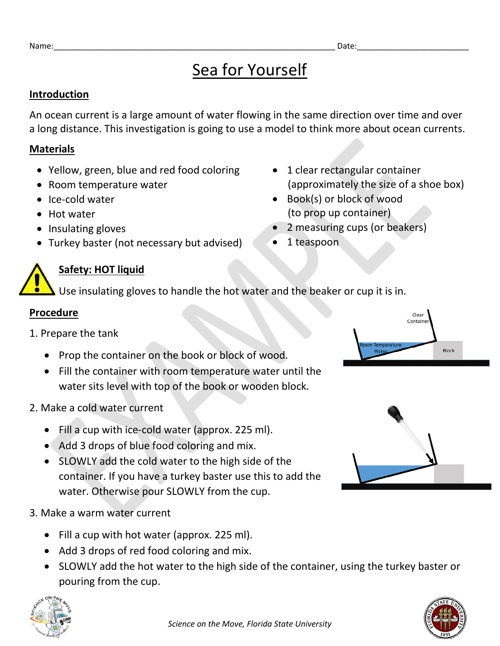# Sea for Yourself

#### **Introduction**

An ocean current is a large amount of water flowing in the same direction over time and over a long distance. This investigation is going to use a model to think more about ocean currents.

### **Materials**

- Yellow, green, blue and red food coloring
- Room temperature water
- Ice-cold water
- Hot water
- Insulating gloves
- Turkey baster (not necessary but advised)
- 1 clear rectangular container (approximately the size of a shoe box)
- Book(s) or block of wood (to prop up container)
- 2 measuring cups (or beakers)
- 1 teaspoon

## **Safety: HOT liquid**

Use insulating gloves to handle the hot water and the beaker or cup it is in.

## **Procedure**

- 1. Prepare the tank
	- Prop the container on the book or block of wood.
	- Fill the container with room temperature water until the water sits level with top of the book or wooden block.
- 2. Make a cold water current
	- Fill a cup with ice-cold water (approx. 225 ml).
	- Add 3 drops of blue food coloring and mix.
	- SLOWLY add the cold water to the high side of the container. If you have a turkey baster use this to add the water. Otherwise pour SLOWLY from the cup.
- 3. Make a warm water current
	- Fill a cup with hot water (approx. 225 ml).
	- Add 3 drops of red food coloring and mix.
	- SLOWLY add the hot water to the high side of the container, using the turkey baster or pouring from the cup.





Clear Contain

**Block**